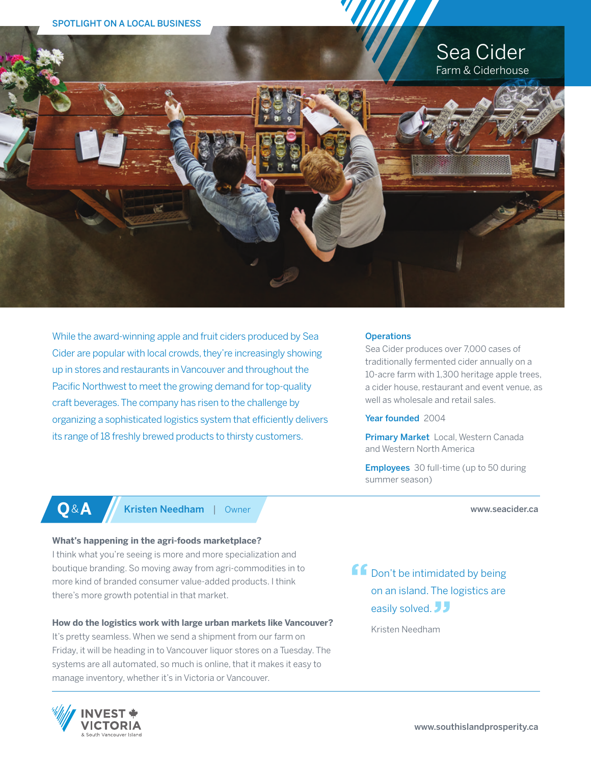# Sea Cider Farm & Ciderhouse



While the award-winning apple and fruit ciders produced by Sea Cider are popular with local crowds, they're increasingly showing up in stores and restaurants in Vancouver and throughout the Pacific Northwest to meet the growing demand for top-quality craft beverages. The company has risen to the challenge by organizing a sophisticated logistics system that efficiently delivers its range of 18 freshly brewed products to thirsty customers.

#### **Operations**

Sea Cider produces over 7,000 cases of traditionally fermented cider annually on a 10-acre farm with 1,300 heritage apple trees, a cider house, restaurant and event venue, as well as wholesale and retail sales.

#### Year founded 2004

Primary Market Local, Western Canada and Western North America

Employees 30 full-time (up to 50 during summer season)

www.seacider.ca

**Q**&**A** Kristen Needham | Owner

# **What's happening in the agri-foods marketplace?**

I think what you're seeing is more and more specialization and boutique branding. So moving away from agri-commodities in to more kind of branded consumer value-added products. I think there's more growth potential in that market.

# **How do the logistics work with large urban markets like Vancouver?**

It's pretty seamless. When we send a shipment from our farm on Friday, it will be heading in to Vancouver liquor stores on a Tuesday. The systems are all automated, so much is online, that it makes it easy to manage inventory, whether it's in Victoria or Vancouver.



ff Don't be intimidated by being on an island. The logistics are easily solved. JJ

Kristen Needham